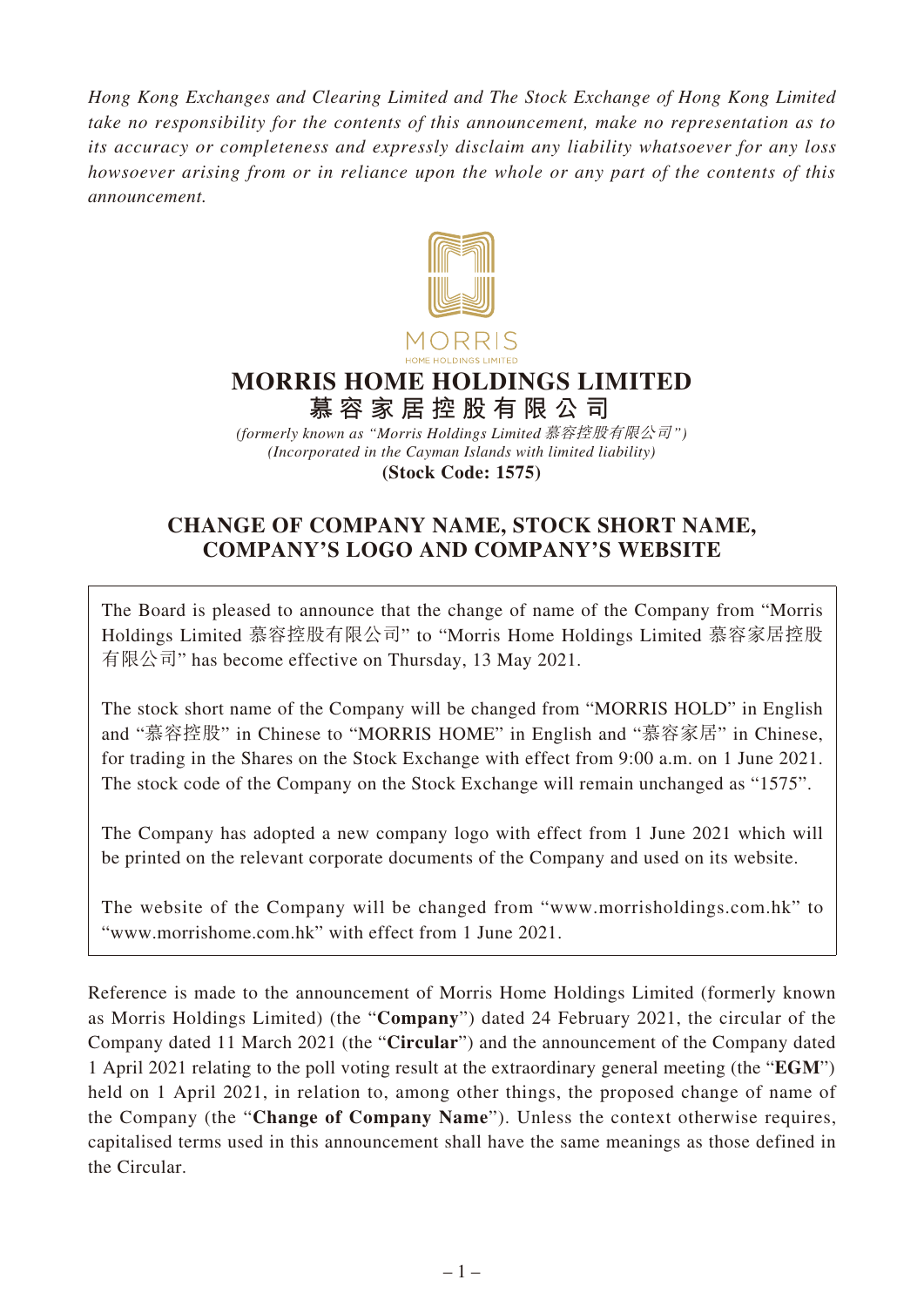*Hong Kong Exchanges and Clearing Limited and The Stock Exchange of Hong Kong Limited take no responsibility for the contents of this announcement, make no representation as to its accuracy or completeness and expressly disclaim any liability whatsoever for any loss howsoever arising from or in reliance upon the whole or any part of the contents of this announcement.*



# **MORRIS HOME HOLDINGS LIMITED 慕容家居控股有限公司**

*(Incorporated in the Cayman Islands with limited liability)* **(Stock Code: 1575)** *(formerly known as "Morris Holdings Limited* 慕容控股有限公司*")*

# **CHANGE OF COMPANY NAME, STOCK SHORT NAME, COMPANY'S LOGO AND COMPANY'S WEBSITE**

The Board is pleased to announce that the change of name of the Company from "Morris Holdings Limited 慕容控股有限公司" to "Morris Home Holdings Limited 慕容家居控股 有限公司" has become effective on Thursday, 13 May 2021.

The stock short name of the Company will be changed from "MORRIS HOLD" in English and "慕容控股" in Chinese to "MORRIS HOME" in English and "慕容家居" in Chinese, for trading in the Shares on the Stock Exchange with effect from 9:00 a.m. on 1 June 2021. The stock code of the Company on the Stock Exchange will remain unchanged as "1575".

The Company has adopted a new company logo with effect from 1 June 2021 which will be printed on the relevant corporate documents of the Company and used on its website.

The website of the Company will be changed from "www.morrisholdings.com.hk" to "www.morrishome.com.hk" with effect from 1 June 2021.

Reference is made to the announcement of Morris Home Holdings Limited (formerly known as Morris Holdings Limited) (the "**Company**") dated 24 February 2021, the circular of the Company dated 11 March 2021 (the "**Circular**") and the announcement of the Company dated 1 April 2021 relating to the poll voting result at the extraordinary general meeting (the "**EGM**") held on 1 April 2021, in relation to, among other things, the proposed change of name of the Company (the "**Change of Company Name**"). Unless the context otherwise requires, capitalised terms used in this announcement shall have the same meanings as those defined in the Circular.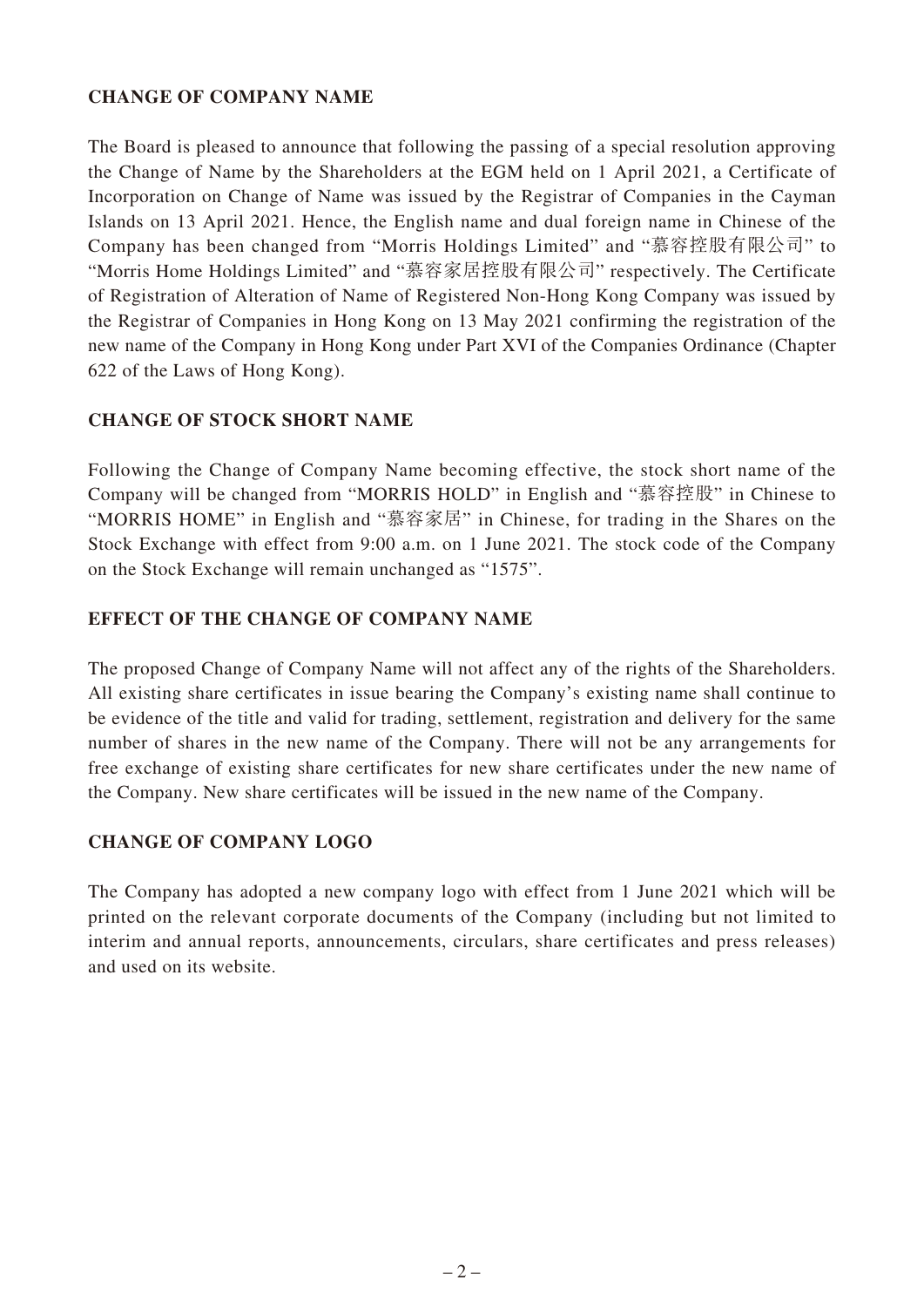### **CHANGE OF COMPANY NAME**

The Board is pleased to announce that following the passing of a special resolution approving the Change of Name by the Shareholders at the EGM held on 1 April 2021, a Certificate of Incorporation on Change of Name was issued by the Registrar of Companies in the Cayman Islands on 13 April 2021. Hence, the English name and dual foreign name in Chinese of the Company has been changed from "Morris Holdings Limited" and "慕容控股有限公司" to "Morris Home Holdings Limited" and "慕容家居控股有限公司" respectively. The Certificate of Registration of Alteration of Name of Registered Non-Hong Kong Company was issued by the Registrar of Companies in Hong Kong on 13 May 2021 confirming the registration of the new name of the Company in Hong Kong under Part XVI of the Companies Ordinance (Chapter 622 of the Laws of Hong Kong).

### **CHANGE OF STOCK SHORT NAME**

Following the Change of Company Name becoming effective, the stock short name of the Company will be changed from "MORRIS HOLD" in English and "慕容控股" in Chinese to "MORRIS HOME" in English and "慕容家居" in Chinese, for trading in the Shares on the Stock Exchange with effect from 9:00 a.m. on 1 June 2021. The stock code of the Company on the Stock Exchange will remain unchanged as "1575".

### **EFFECT OF THE CHANGE OF COMPANY NAME**

The proposed Change of Company Name will not affect any of the rights of the Shareholders. All existing share certificates in issue bearing the Company's existing name shall continue to be evidence of the title and valid for trading, settlement, registration and delivery for the same number of shares in the new name of the Company. There will not be any arrangements for free exchange of existing share certificates for new share certificates under the new name of the Company. New share certificates will be issued in the new name of the Company.

### **CHANGE OF COMPANY LOGO**

The Company has adopted a new company logo with effect from 1 June 2021 which will be printed on the relevant corporate documents of the Company (including but not limited to interim and annual reports, announcements, circulars, share certificates and press releases) and used on its website.